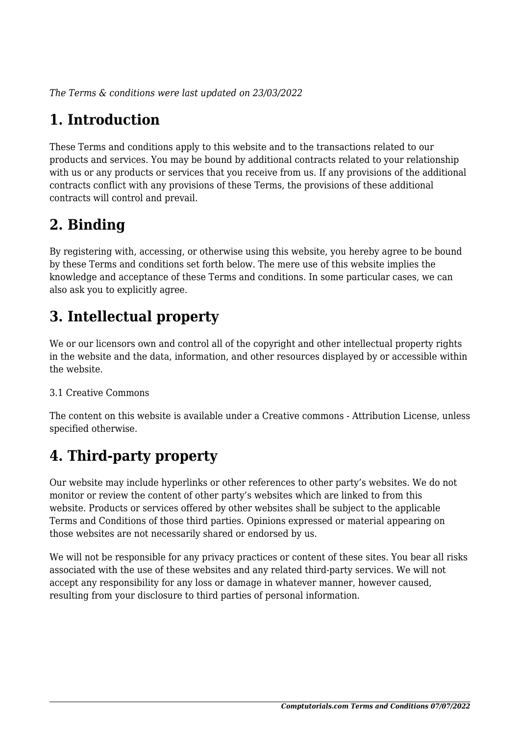*The Terms & conditions were last updated on 23/03/2022*

# **1. Introduction**

These Terms and conditions apply to this website and to the transactions related to our products and services. You may be bound by additional contracts related to your relationship with us or any products or services that you receive from us. If any provisions of the additional contracts conflict with any provisions of these Terms, the provisions of these additional contracts will control and prevail.

# **2. Binding**

By registering with, accessing, or otherwise using this website, you hereby agree to be bound by these Terms and conditions set forth below. The mere use of this website implies the knowledge and acceptance of these Terms and conditions. In some particular cases, we can also ask you to explicitly agree.

# **3. Intellectual property**

We or our licensors own and control all of the copyright and other intellectual property rights in the website and the data, information, and other resources displayed by or accessible within the website.

#### 3.1 Creative Commons

The content on this website is available under a Creative commons - Attribution License, unless specified otherwise.

# **4. Third-party property**

Our website may include hyperlinks or other references to other party's websites. We do not monitor or review the content of other party's websites which are linked to from this website. Products or services offered by other websites shall be subject to the applicable Terms and Conditions of those third parties. Opinions expressed or material appearing on those websites are not necessarily shared or endorsed by us.

We will not be responsible for any privacy practices or content of these sites. You bear all risks associated with the use of these websites and any related third-party services. We will not accept any responsibility for any loss or damage in whatever manner, however caused, resulting from your disclosure to third parties of personal information.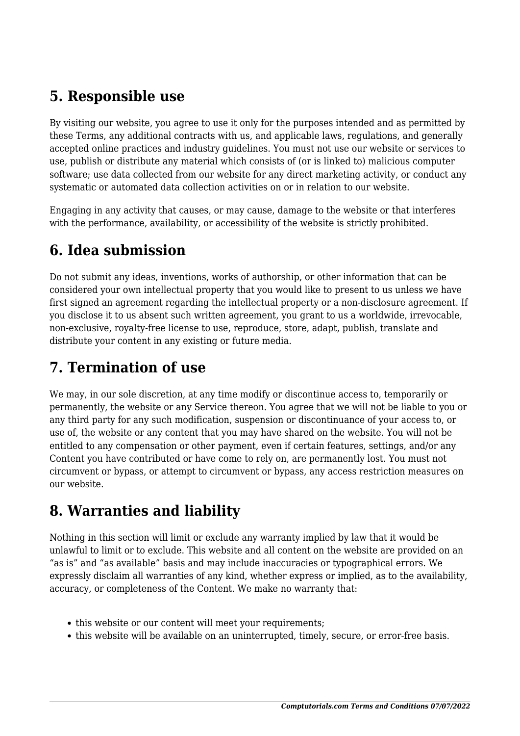#### **5. Responsible use**

By visiting our website, you agree to use it only for the purposes intended and as permitted by these Terms, any additional contracts with us, and applicable laws, regulations, and generally accepted online practices and industry guidelines. You must not use our website or services to use, publish or distribute any material which consists of (or is linked to) malicious computer software; use data collected from our website for any direct marketing activity, or conduct any systematic or automated data collection activities on or in relation to our website.

Engaging in any activity that causes, or may cause, damage to the website or that interferes with the performance, availability, or accessibility of the website is strictly prohibited.

## **6. Idea submission**

Do not submit any ideas, inventions, works of authorship, or other information that can be considered your own intellectual property that you would like to present to us unless we have first signed an agreement regarding the intellectual property or a non-disclosure agreement. If you disclose it to us absent such written agreement, you grant to us a worldwide, irrevocable, non-exclusive, royalty-free license to use, reproduce, store, adapt, publish, translate and distribute your content in any existing or future media.

## **7. Termination of use**

We may, in our sole discretion, at any time modify or discontinue access to, temporarily or permanently, the website or any Service thereon. You agree that we will not be liable to you or any third party for any such modification, suspension or discontinuance of your access to, or use of, the website or any content that you may have shared on the website. You will not be entitled to any compensation or other payment, even if certain features, settings, and/or any Content you have contributed or have come to rely on, are permanently lost. You must not circumvent or bypass, or attempt to circumvent or bypass, any access restriction measures on our website.

#### **8. Warranties and liability**

Nothing in this section will limit or exclude any warranty implied by law that it would be unlawful to limit or to exclude. This website and all content on the website are provided on an "as is" and "as available" basis and may include inaccuracies or typographical errors. We expressly disclaim all warranties of any kind, whether express or implied, as to the availability, accuracy, or completeness of the Content. We make no warranty that:

- this website or our content will meet your requirements;
- this website will be available on an uninterrupted, timely, secure, or error-free basis.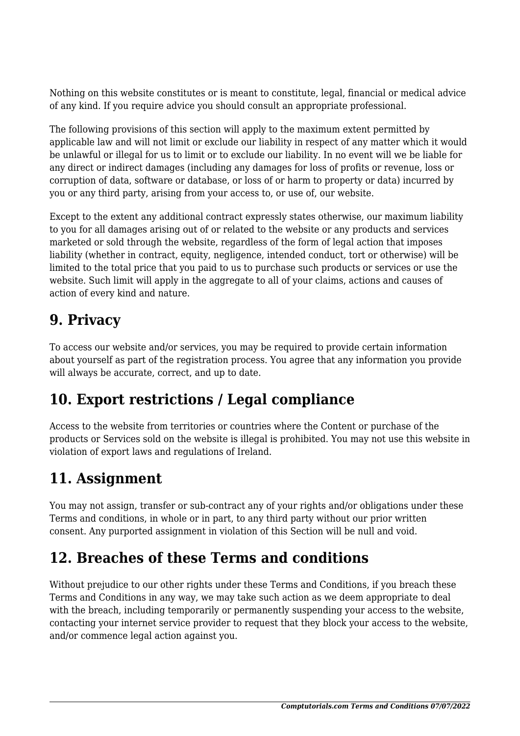Nothing on this website constitutes or is meant to constitute, legal, financial or medical advice of any kind. If you require advice you should consult an appropriate professional.

The following provisions of this section will apply to the maximum extent permitted by applicable law and will not limit or exclude our liability in respect of any matter which it would be unlawful or illegal for us to limit or to exclude our liability. In no event will we be liable for any direct or indirect damages (including any damages for loss of profits or revenue, loss or corruption of data, software or database, or loss of or harm to property or data) incurred by you or any third party, arising from your access to, or use of, our website.

Except to the extent any additional contract expressly states otherwise, our maximum liability to you for all damages arising out of or related to the website or any products and services marketed or sold through the website, regardless of the form of legal action that imposes liability (whether in contract, equity, negligence, intended conduct, tort or otherwise) will be limited to the total price that you paid to us to purchase such products or services or use the website. Such limit will apply in the aggregate to all of your claims, actions and causes of action of every kind and nature.

#### **9. Privacy**

To access our website and/or services, you may be required to provide certain information about yourself as part of the registration process. You agree that any information you provide will always be accurate, correct, and up to date.

# **10. Export restrictions / Legal compliance**

Access to the website from territories or countries where the Content or purchase of the products or Services sold on the website is illegal is prohibited. You may not use this website in violation of export laws and regulations of Ireland.

# **11. Assignment**

You may not assign, transfer or sub-contract any of your rights and/or obligations under these Terms and conditions, in whole or in part, to any third party without our prior written consent. Any purported assignment in violation of this Section will be null and void.

#### **12. Breaches of these Terms and conditions**

Without prejudice to our other rights under these Terms and Conditions, if you breach these Terms and Conditions in any way, we may take such action as we deem appropriate to deal with the breach, including temporarily or permanently suspending your access to the website, contacting your internet service provider to request that they block your access to the website, and/or commence legal action against you.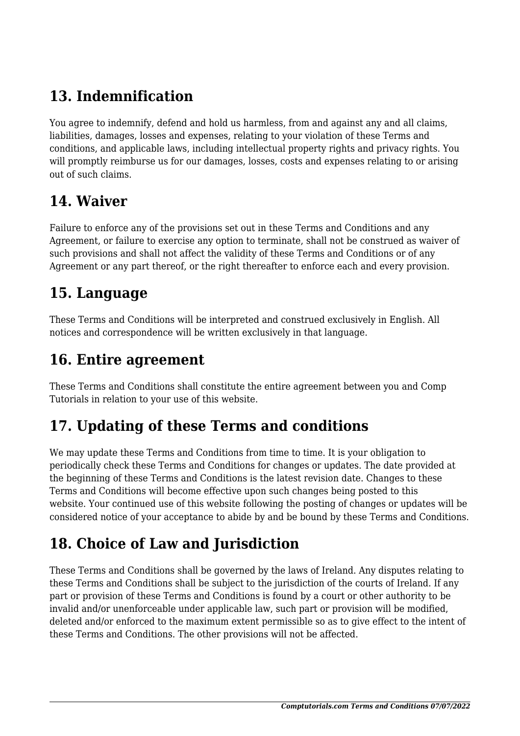# **13. Indemnification**

You agree to indemnify, defend and hold us harmless, from and against any and all claims, liabilities, damages, losses and expenses, relating to your violation of these Terms and conditions, and applicable laws, including intellectual property rights and privacy rights. You will promptly reimburse us for our damages, losses, costs and expenses relating to or arising out of such claims.

#### **14. Waiver**

Failure to enforce any of the provisions set out in these Terms and Conditions and any Agreement, or failure to exercise any option to terminate, shall not be construed as waiver of such provisions and shall not affect the validity of these Terms and Conditions or of any Agreement or any part thereof, or the right thereafter to enforce each and every provision.

#### **15. Language**

These Terms and Conditions will be interpreted and construed exclusively in English. All notices and correspondence will be written exclusively in that language.

#### **16. Entire agreement**

These Terms and Conditions shall constitute the entire agreement between you and Comp Tutorials in relation to your use of this website.

# **17. Updating of these Terms and conditions**

We may update these Terms and Conditions from time to time. It is your obligation to periodically check these Terms and Conditions for changes or updates. The date provided at the beginning of these Terms and Conditions is the latest revision date. Changes to these Terms and Conditions will become effective upon such changes being posted to this website. Your continued use of this website following the posting of changes or updates will be considered notice of your acceptance to abide by and be bound by these Terms and Conditions.

# **18. Choice of Law and Jurisdiction**

These Terms and Conditions shall be governed by the laws of Ireland. Any disputes relating to these Terms and Conditions shall be subject to the jurisdiction of the courts of Ireland. If any part or provision of these Terms and Conditions is found by a court or other authority to be invalid and/or unenforceable under applicable law, such part or provision will be modified, deleted and/or enforced to the maximum extent permissible so as to give effect to the intent of these Terms and Conditions. The other provisions will not be affected.